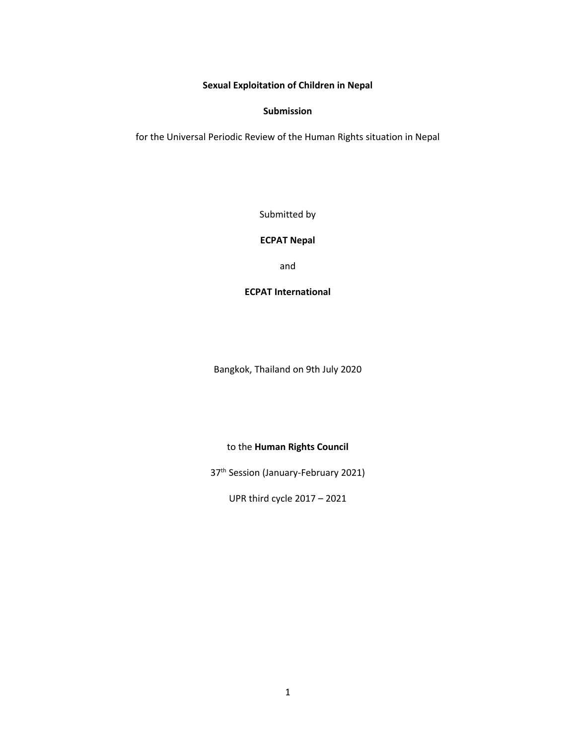### **Sexual Exploitation of Children in Nepal**

#### **Submission**

for the Universal Periodic Review of the Human Rights situation in Nepal

Submitted by

### **ECPAT Nepal**

and

# **ECPAT International**

Bangkok, Thailand on 9th July 2020

# to the **Human Rights Council**

37<sup>th</sup> Session (January-February 2021)

UPR third cycle 2017 – 2021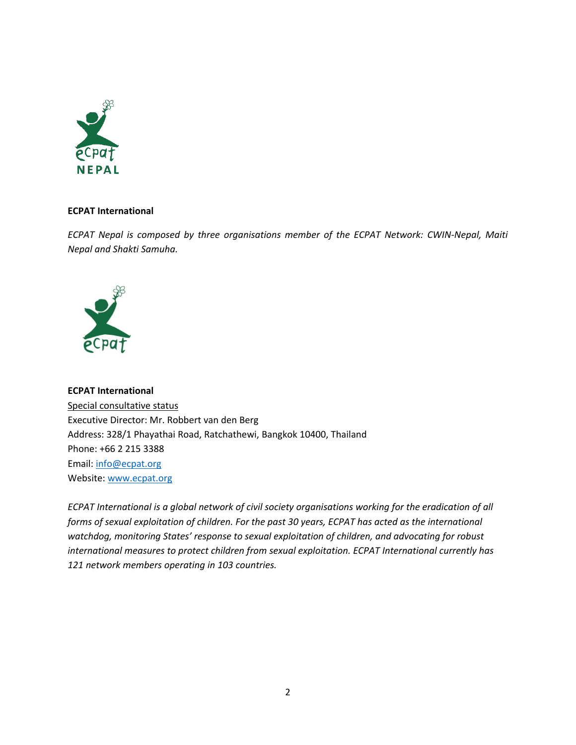

# **ECPAT International**

*ECPAT Nepal is composed by three organisations member of the ECPAT Network: CWIN-Nepal, Maiti Nepal and Shakti Samuha.*



**ECPAT International** Special consultative status Executive Director: Mr. Robbert van den Berg Address: 328/1 Phayathai Road, Ratchathewi, Bangkok 10400, Thailand Phone: +66 2 215 3388 Email: [info@ecpat.org](mailto:info@ecpat.org) Website: [www.ecpat.org](http://www.ecpat.org)

*ECPAT International is <sup>a</sup> global network of civil society organisations working for the eradication of all forms of sexual exploitation of children. For the past 30 years, ECPAT has acted as the international watchdog, monitoring States' response to sexual exploitation of children, and advocating for robust international measures to protect children from sexual exploitation. ECPAT International currently has 121 network members operating in 103 countries.*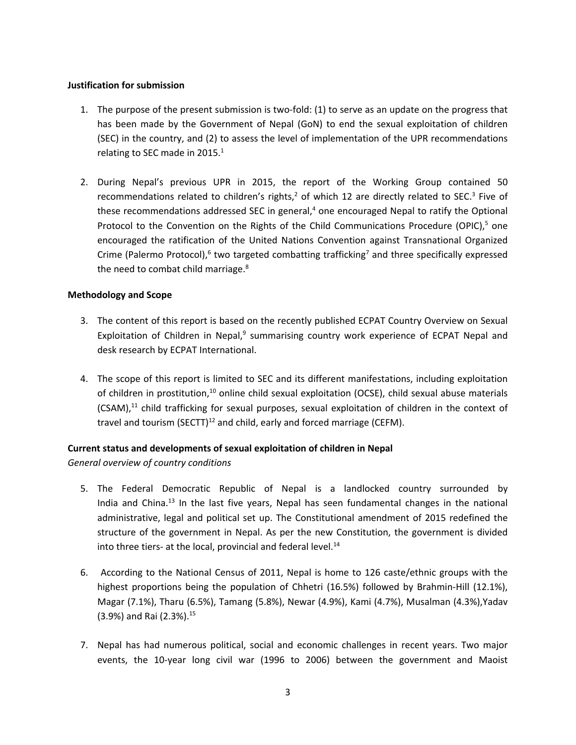# **Justification for submission**

- 1. The purpose of the present submission is two-fold: (1) to serve as an update on the progress that has been made by the Government of Nepal (GoN) to end the sexual exploitation of children (SEC) in the country, and (2) to assess the level of implementation of the UPR recommendations relating to SEC made in 2015. $^1$
- 2. During Nepal'<sup>s</sup> previous UPR in 2015, the report of the Working Group contained 50 recommendations related to children's rights, $^2$  of which 12 are directly related to SEC. $^3$  Five of these recommendations addressed SEC in general,<sup>4</sup> one encouraged Nepal to ratify the Optional Protocol to the Convention on the Rights of the Child Communications Procedure (OPIC),<sup>5</sup> one encouraged the ratification of the United Nations Convention against Transnational Organized Crime (Palermo Protocol),<sup>6</sup> two targeted combatting trafficking<sup>7</sup> and three specifically expressed the need to combat child marriage.<sup>8</sup>

# **Methodology and Scope**

- 3. The content of this report is based on the recently published ECPAT Country Overview on Sexual Exploitation of Children in Nepal,<sup>9</sup> summarising country work experience of ECPAT Nepal and desk research by ECPAT International.
- 4. The scope of this report is limited to SEC and its different manifestations, including exploitation of children in prostitution, $^{10}$  online child sexual exploitation (OCSE), child sexual abuse materials (CSAM),<sup>11</sup> child trafficking for sexual purposes, sexual exploitation of children in the context of travel and tourism (SECTT)<sup>12</sup> and child, early and forced marriage (CEFM).

# **Current status and developments of sexual exploitation of children in Nepal**

*General overview of country conditions*

- 5. The Federal Democratic Republic of Nepal is <sup>a</sup> landlocked country surrounded by India and China.<sup>13</sup> In the last five years, Nepal has seen fundamental changes in the national administrative, legal and political set up. The Constitutional amendment of 2015 redefined the structure of the government in Nepal. As per the new Constitution, the government is divided into three tiers- at the local, provincial and federal level.<sup>14</sup>
- 6. According to the National Census of 2011, Nepal is home to 126 caste/ethnic groups with the highest proportions being the population of Chhetri (16.5%) followed by Brahmin-Hill (12.1%), Magar (7.1%), Tharu (6.5%), Tamang (5.8%), Newar (4.9%), Kami (4.7%), Musalman (4.3%),Yadav (3.9%) and Rai (2.3%). 15
- 7. Nepal has had numerous political, social and economic challenges in recent years. Two major events, the 10-year long civil war (1996 to 2006) between the government and Maoist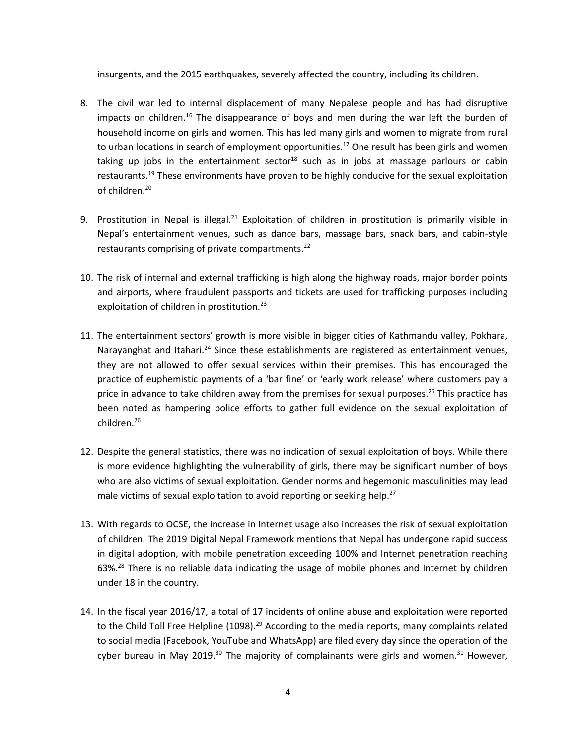insurgents, and the 2015 earthquakes, severely affected the country, including its children.

- 8. The civil war led to internal displacement of many Nepalese people and has had disruptive impacts on children.<sup>16</sup> The disappearance of boys and men during the war left the burden of household income on girls and women. This has led many girls and women to migrate from rural to urban locations in search of employment opportunities.<sup>17</sup> One result has been girls and women taking up jobs in the entertainment sector<sup>18</sup> such as in jobs at massage parlours or cabin restaurants.<sup>19</sup> These environments have proven to be highly conducive for the sexual exploitation of children.<sup>20</sup>
- 9. Prostitution in Nepal is illegal.<sup>21</sup> Exploitation of children in prostitution is primarily visible in Nepal'<sup>s</sup> entertainment venues, such as dance bars, massage bars, snack bars, and cabin-style restaurants comprising of private compartments.<sup>22</sup>
- 10. The risk of internal and external trafficking is high along the highway roads, major border points and airports, where fraudulent passports and tickets are used for trafficking purposes including exploitation of children in prostitution.<sup>23</sup>
- 11. The entertainment sectors' growth is more visible in bigger cities of Kathmandu valley, Pokhara, Narayanghat and Itahari.<sup>24</sup> Since these establishments are registered as entertainment venues, they are not allowed to offer sexual services within their premises. This has encouraged the practice of euphemistic payments of <sup>a</sup> 'bar fine' or 'early work release' where customers pay <sup>a</sup> price in advance to take children away from the premises for sexual purposes.<sup>25</sup> This practice has been noted as hampering police efforts to gather full evidence on the sexual exploitation of children. 26
- 12. Despite the general statistics, there was no indication of sexual exploitation of boys. While there is more evidence highlighting the vulnerability of girls, there may be significant number of boys who are also victims of sexual exploitation. Gender norms and hegemonic masculinities may lead male victims of sexual exploitation to avoid reporting or seeking help.<sup>27</sup>
- 13. With regards to OCSE, the increase in Internet usage also increases the risk of sexual exploitation of children. The 2019 Digital Nepal Framework mentions that Nepal has undergone rapid success in digital adoption, with mobile penetration exceeding 100% and Internet penetration reaching 63%.<sup>28</sup> There is no reliable data indicating the usage of mobile phones and Internet by children under 18 in the country.
- 14. In the fiscal year 2016/17, <sup>a</sup> total of 17 incidents of online abuse and exploitation were reported to the Child Toll Free Helpline (1098). 29 According to the media reports, many complaints related to social media (Facebook, YouTube and WhatsApp) are filed every day since the operation of the cyber bureau in May 2019.<sup>30</sup> The majority of complainants were girls and women.<sup>31</sup> However,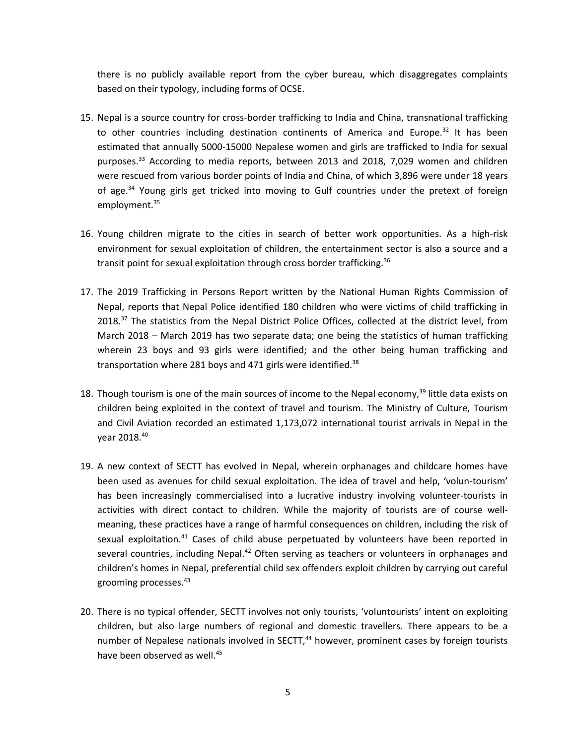there is no publicly available report from the cyber bureau, which disaggregates complaints based on their typology, including forms of OCSE.

- 15. Nepal is <sup>a</sup> source country for cross-border trafficking to India and China, transnational trafficking to other countries including destination continents of America and Europe.<sup>32</sup> It has been estimated that annually 5000-15000 Nepalese women and girls are trafficked to India for sexual purposes.<sup>33</sup> According to media reports, between 2013 and 2018, 7,029 women and children were rescued from various border points of India and China, of which 3,896 were under 18 years of age.<sup>34</sup> Young girls get tricked into moving to Gulf countries under the pretext of foreign employment.<sup>35</sup>
- 16. Young children migrate to the cities in search of better work opportunities. As <sup>a</sup> high-risk environment for sexual exploitation of children, the entertainment sector is also <sup>a</sup> source and <sup>a</sup> transit point for sexual exploitation through cross border trafficking.<sup>36</sup>
- 17. The 2019 Trafficking in Persons Report written by the National Human Rights Commission of Nepal, reports that Nepal Police identified 180 children who were victims of child trafficking in 2018.<sup>37</sup> The statistics from the Nepal District Police Offices, collected at the district level, from March 2018 – March 2019 has two separate data; one being the statistics of human trafficking wherein 23 boys and 93 girls were identified; and the other being human trafficking and transportation where 281 boys and 471 girls were identified.<sup>38</sup>
- 18. Though tourism is one of the main sources of income to the Nepal economy,<sup>39</sup> little data exists on children being exploited in the context of travel and tourism. The Ministry of Culture, Tourism and Civil Aviation recorded an estimated 1,173,072 international tourist arrivals in Nepal in the year 2018. 40
- 19. A new context of SECTT has evolved in Nepal, wherein orphanages and childcare homes have been used as avenues for child sexual exploitation. The idea of travel and help, 'volun-tourism' has been increasingly commercialised into <sup>a</sup> lucrative industry involving volunteer-tourists in activities with direct contact to children. While the majority of tourists are of course wellmeaning, these practices have <sup>a</sup> range of harmful consequences on children, including the risk of sexual exploitation.<sup>41</sup> Cases of child abuse perpetuated by volunteers have been reported in several countries, including Nepal.<sup>42</sup> Often serving as teachers or volunteers in orphanages and children'<sup>s</sup> homes in Nepal, preferential child sex offenders exploit children by carrying out careful grooming processes. 43
- 20. There is no typical offender, SECTT involves not only tourists, 'voluntourists' intent on exploiting children, but also large numbers of regional and domestic travellers. There appears to be <sup>a</sup> number of Nepalese nationals involved in SECTT,<sup>44</sup> however, prominent cases by foreign tourists have been observed as well.<sup>45</sup>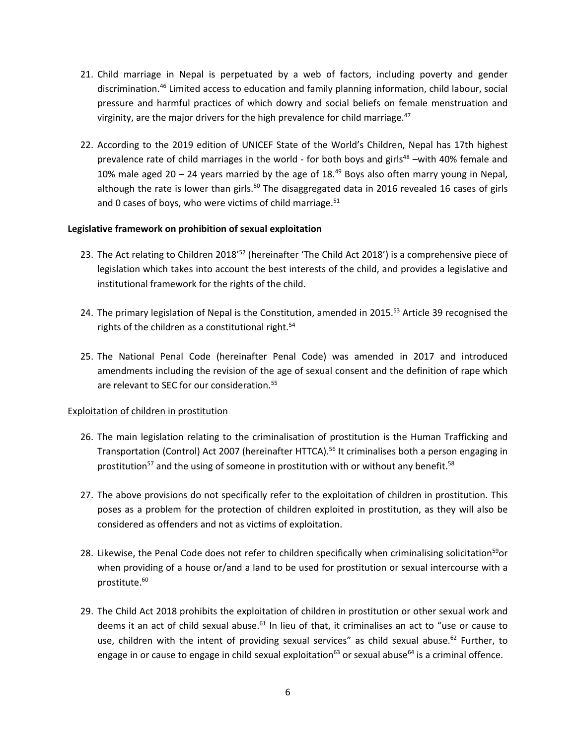- 21. Child marriage in Nepal is perpetuated by <sup>a</sup> web of factors, including poverty and gender discrimination.<sup>46</sup> Limited access to education and family planning information, child labour, social pressure and harmful practices of which dowry and social beliefs on female menstruation and virginity, are the major drivers for the high prevalence for child marriage. 47
- 22. According to the 2019 edition of UNICEF State of the World'<sup>s</sup> Children, Nepal has 17th highest prevalence rate of child marriages in the world - for both boys and girls<sup>48</sup> –with 40% female and 10% male aged 20 – 24 years married by the age of 18.<sup>49</sup> Boys also often marry young in Nepal, although the rate is lower than girls.<sup>50</sup> The disaggregated data in 2016 revealed 16 cases of girls and 0 cases of boys, who were victims of child marriage.<sup>51</sup>

### **Legislative framework on prohibition of sexual exploitation**

- 23. The Act relating to Children 2018'<sup>52</sup> (hereinafter 'The Child Act 2018') is a comprehensive piece of legislation which takes into account the best interests of the child, and provides <sup>a</sup> legislative and institutional framework for the rights of the child.
- 24. The primary legislation of Nepal is the Constitution, amended in 2015.<sup>53</sup> Article 39 recognised the rights of the children as <sup>a</sup> constitutional right. 54
- 25. The National Penal Code (hereinafter Penal Code) was amended in 2017 and introduced amendments including the revision of the age of sexual consent and the definition of rape which are relevant to SEC for our consideration.<sup>55</sup>

# Exploitation of children in prostitution

- 26. The main legislation relating to the criminalisation of prostitution is the Human Trafficking and Transportation (Control) Act 2007 (hereinafter HTTCA). 56 It criminalises both <sup>a</sup> person engaging in prostitution<sup>57</sup> and the using of someone in prostitution with or without any benefit.<sup>58</sup>
- 27. The above provisions do not specifically refer to the exploitation of children in prostitution. This poses as <sup>a</sup> problem for the protection of children exploited in prostitution, as they will also be considered as offenders and not as victims of exploitation.
- 28. Likewise, the Penal Code does not refer to children specifically when criminalising solicitation<sup>59</sup>or when providing of <sup>a</sup> house or/and <sup>a</sup> land to be used for prostitution or sexual intercourse with <sup>a</sup> prostitute. 60
- 29. The Child Act 2018 prohibits the exploitation of children in prostitution or other sexual work and deems it an act of child sexual abuse.<sup>61</sup> In lieu of that, it criminalises an act to "use or cause to use, children with the intent of providing sexual services" as child sexual abuse.<sup>62</sup> Further, to engage in or cause to engage in child sexual exploitation<sup>63</sup> or sexual abuse<sup>64</sup> is a criminal offence.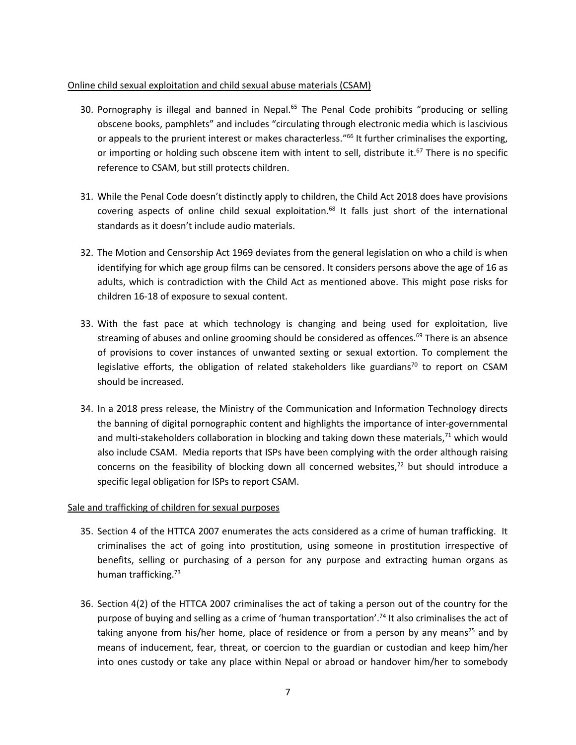# Online child sexual exploitation and child sexual abuse materials (CSAM)

- 30. Pornography is illegal and banned in Nepal.<sup>65</sup> The Penal Code prohibits "producing or selling obscene books, pamphlets" and includes "circulating through electronic media which is lascivious or appeals to the prurient interest or makes characterless."<sup>66</sup> It further criminalises the exporting, or importing or holding such obscene item with intent to sell, distribute it.<sup>67</sup> There is no specific reference to CSAM, but still protects children.
- 31. While the Penal Code doesn'<sup>t</sup> distinctly apply to children, the Child Act 2018 does have provisions covering aspects of online child sexual exploitation.<sup>68</sup> It falls just short of the international standards as it doesn't include audio materials.
- 32. The Motion and Censorship Act 1969 deviates from the general legislation on who <sup>a</sup> child is when identifying for which age group films can be censored. It considers persons above the age of 16 as adults, which is contradiction with the Child Act as mentioned above. This might pose risks for children 16-18 of exposure to sexual content.
- 33. With the fast pace at which technology is changing and being used for exploitation, live streaming of abuses and online grooming should be considered as offences.<sup>69</sup> There is an absence of provisions to cover instances of unwanted sexting or sexual extortion. To complement the legislative efforts, the obligation of related stakeholders like guardians<sup>70</sup> to report on CSAM should be increased.
- 34. In <sup>a</sup> 2018 press release, the Ministry of the Communication and Information Technology directs the banning of digital pornographic content and highlights the importance of inter-governmental and multi-stakeholders collaboration in blocking and taking down these materials,<sup>71</sup> which would also include CSAM. Media reports that ISPs have been complying with the order although raising concerns on the feasibility of blocking down all concerned websites,<sup>72</sup> but should introduce a specific legal obligation for ISPs to report CSAM.

# Sale and trafficking of children for sexual purposes

- 35. Section 4 of the HTTCA 2007 enumerates the acts considered as <sup>a</sup> crime of human trafficking. It criminalises the act of going into prostitution, using someone in prostitution irrespective of benefits, selling or purchasing of <sup>a</sup> person for any purpose and extracting human organs as human trafficking.<sup>73</sup>
- 36. Section 4(2) of the HTTCA 2007 criminalises the act of taking <sup>a</sup> person out of the country for the purpose of buying and selling as <sup>a</sup> crime of 'human transportation'. 74 It also criminalises the act of taking anyone from his/her home, place of residence or from a person by any means<sup>75</sup> and by means of inducement, fear, threat, or coercion to the guardian or custodian and keep him/her into ones custody or take any place within Nepal or abroad or handover him/her to somebody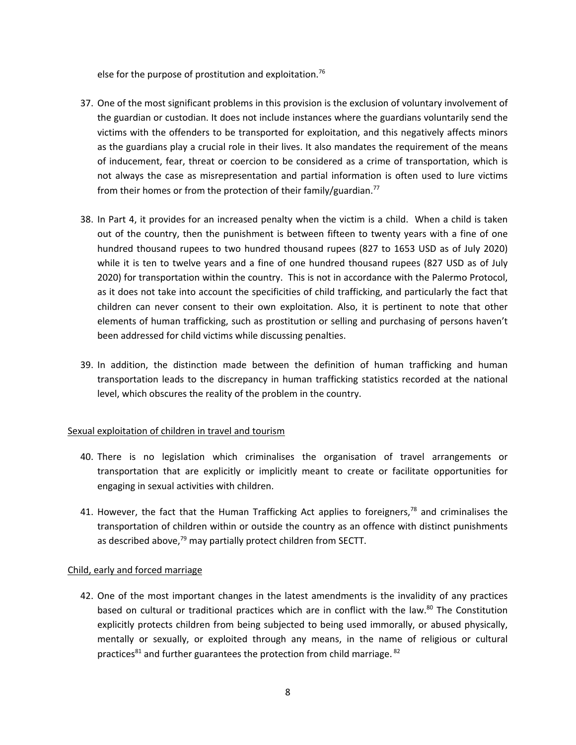else for the purpose of prostitution and exploitation.<sup>76</sup>

- 37. One of the most significant problems in this provision is the exclusion of voluntary involvement of the guardian or custodian. It does not include instances where the guardians voluntarily send the victims with the offenders to be transported for exploitation, and this negatively affects minors as the guardians play <sup>a</sup> crucial role in their lives. It also mandates the requirement of the means of inducement, fear, threat or coercion to be considered as <sup>a</sup> crime of transportation, which is not always the case as misrepresentation and partial information is often used to lure victims from their homes or from the protection of their family/guardian.<sup>77</sup>
- 38. In Part 4, it provides for an increased penalty when the victim is <sup>a</sup> child. When <sup>a</sup> child is taken out of the country, then the punishment is between fifteen to twenty years with <sup>a</sup> fine of one hundred thousand rupees to two hundred thousand rupees (827 to 1653 USD as of July 2020) while it is ten to twelve years and <sup>a</sup> fine of one hundred thousand rupees (827 USD as of July 2020) for transportation within the country. This is not in accordance with the Palermo Protocol, as it does not take into account the specificities of child trafficking, and particularly the fact that children can never consent to their own exploitation. Also, it is pertinent to note that other elements of human trafficking, such as prostitution or selling and purchasing of persons haven'<sup>t</sup> been addressed for child victims while discussing penalties.
- 39. In addition, the distinction made between the definition of human trafficking and human transportation leads to the discrepancy in human trafficking statistics recorded at the national level, which obscures the reality of the problem in the country.

# Sexual exploitation of children in travel and tourism

- 40. There is no legislation which criminalises the organisation of travel arrangements or transportation that are explicitly or implicitly meant to create or facilitate opportunities for engaging in sexual activities with children.
- 41. However, the fact that the Human Trafficking Act applies to foreigners,<sup>78</sup> and criminalises the transportation of children within or outside the country as an offence with distinct punishments as described above,<sup>79</sup> may partially protect children from SECTT.

#### Child, early and forced marriage

42. One of the most important changes in the latest amendments is the invalidity of any practices based on cultural or traditional practices which are in conflict with the law.<sup>80</sup> The Constitution explicitly protects children from being subjected to being used immorally, or abused physically, mentally or sexually, or exploited through any means, in the name of religious or cultural practices<sup>81</sup> and further guarantees the protection from child marriage. <sup>82</sup>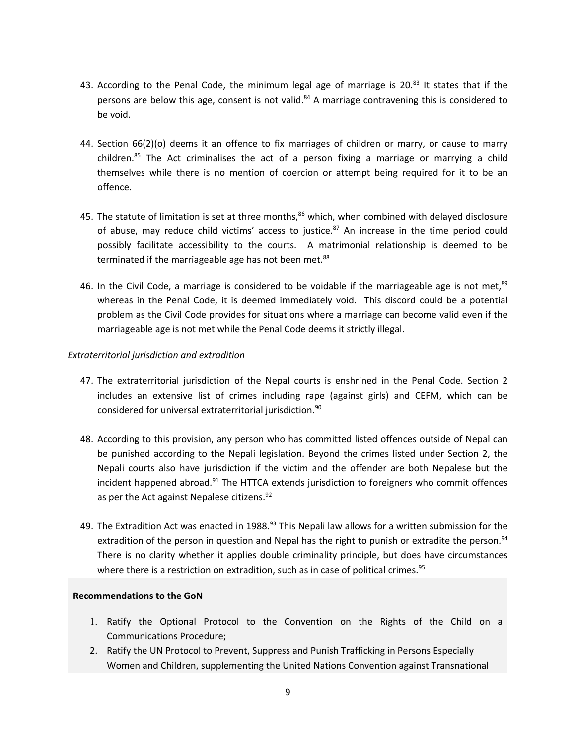- 43. According to the Penal Code, the minimum legal age of marriage is 20.<sup>83</sup> It states that if the persons are below this age, consent is not valid.<sup>84</sup> A marriage contravening this is considered to be void.
- 44. Section 66(2)(o) deems it an offence to fix marriages of children or marry, or cause to marry children.<sup>85</sup> The Act criminalises the act of a person fixing a marriage or marrying a child themselves while there is no mention of coercion or attempt being required for it to be an offence.
- 45. The statute of limitation is set at three months,<sup>86</sup> which, when combined with delayed disclosure of abuse, may reduce child victims' access to justice.<sup>87</sup> An increase in the time period could possibly facilitate accessibility to the courts. A matrimonial relationship is deemed to be terminated if the marriageable age has not been met.<sup>88</sup>
- 46. In the Civil Code, a marriage is considered to be voidable if the marriageable age is not met,<sup>89</sup> whereas in the Penal Code, it is deemed immediately void. This discord could be <sup>a</sup> potential problem as the Civil Code provides for situations where <sup>a</sup> marriage can become valid even if the marriageable age is not met while the Penal Code deems it strictly illegal.

# *Extraterritorial jurisdiction and extradition*

- 47. The extraterritorial jurisdiction of the Nepal courts is enshrined in the Penal Code. Section 2 includes an extensive list of crimes including rape (against girls) and CEFM, which can be considered for universal extraterritorial jurisdiction. 90
- 48. According to this provision, any person who has committed listed offences outside of Nepal can be punished according to the Nepali legislation. Beyond the crimes listed under Section 2, the Nepali courts also have jurisdiction if the victim and the offender are both Nepalese but the incident happened abroad.<sup>91</sup> The HTTCA extends jurisdiction to foreigners who commit offences as per the Act against Nepalese citizens.<sup>92</sup>
- 49. The Extradition Act was enacted in 1988. $^{93}$  This Nepali law allows for a written submission for the extradition of the person in question and Nepal has the right to punish or extradite the person.<sup>94</sup> There is no clarity whether it applies double criminality principle, but does have circumstances where there is a restriction on extradition, such as in case of political crimes.<sup>95</sup>

#### **Recommendations to the GoN**

- 1. Ratify the Optional Protocol to the Convention on the Rights of the Child on <sup>a</sup> Communications Procedure;
- 2. Ratify the UN Protocol to Prevent, Suppress and Punish Trafficking in Persons Especially Women and Children, supplementing the United Nations Convention against Transnational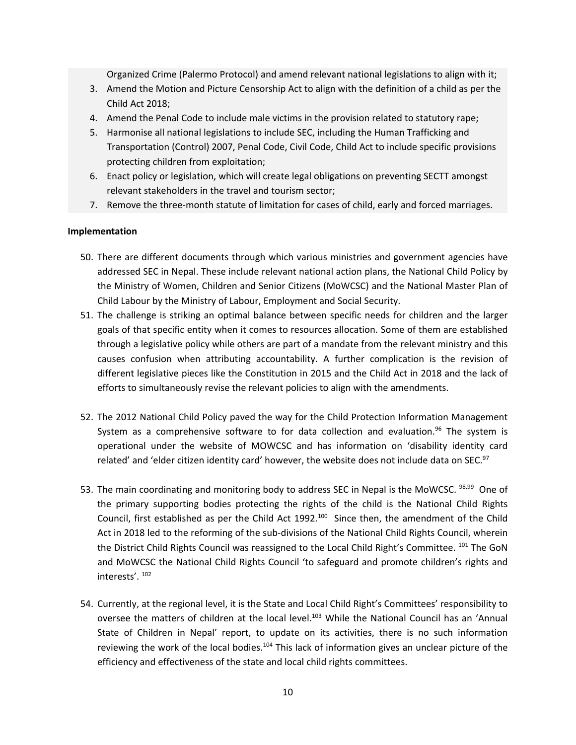Organized Crime (Palermo Protocol) and amend relevant national legislations to align with it;

- 3. Amend the Motion and Picture Censorship Act to align with the definition of <sup>a</sup> child as per the Child Act 2018;
- 4. Amend the Penal Code to include male victims in the provision related to statutory rape;
- 5. Harmonise all national legislations to include SEC, including the Human Trafficking and Transportation (Control) 2007, Penal Code, Civil Code, Child Act to include specific provisions protecting children from exploitation;
- 6. Enact policy or legislation, which will create legal obligations on preventing SECTT amongst relevant stakeholders in the travel and tourism sector;
- 7. Remove the three-month statute of limitation for cases of child, early and forced marriages.

### **Implementation**

- 50. There are different documents through which various ministries and government agencies have addressed SEC in Nepal. These include relevant national action plans, the National Child Policy by the Ministry of Women, Children and Senior Citizens (MoWCSC) and the National Master Plan of Child Labour by the Ministry of Labour, Employment and Social Security.
- 51. The challenge is striking an optimal balance between specific needs for children and the larger goals of that specific entity when it comes to resources allocation. Some of them are established through <sup>a</sup> legislative policy while others are part of <sup>a</sup> mandate from the relevant ministry and this causes confusion when attributing accountability. A further complication is the revision of different legislative pieces like the Constitution in 2015 and the Child Act in 2018 and the lack of efforts to simultaneously revise the relevant policies to align with the amendments.
- 52. The 2012 National Child Policy paved the way for the Child Protection Information Management System as a comprehensive software to for data collection and evaluation.<sup>96</sup> The system is operational under the website of MOWCSC and has information on 'disability identity card related' and 'elder citizen identity card' however, the website does not include data on SEC.<sup>97</sup>
- 53. The main coordinating and monitoring body to address SEC in Nepal is the MoWCSC. <sup>98,99</sup> One of the primary supporting bodies protecting the rights of the child is the National Child Rights Council, first established as per the Child Act  $1992.^{100}$  Since then, the amendment of the Child Act in 2018 led to the reforming of the sub-divisions of the National Child Rights Council, wherein the District Child Rights Council was reassigned to the Local Child Right's Committee. <sup>101</sup> The GoN and MoWCSC the National Child Rights Council 'to safeguard and promote children'<sup>s</sup> rights and interests'. <sup>102</sup>
- 54. Currently, at the regional level, it is the State and Local Child Right'<sup>s</sup> Committees' responsibility to oversee the matters of children at the local level.<sup>103</sup> While the National Council has an 'Annual State of Children in Nepal' report, to update on its activities, there is no such information reviewing the work of the local bodies.<sup>104</sup> This lack of information gives an unclear picture of the efficiency and effectiveness of the state and local child rights committees.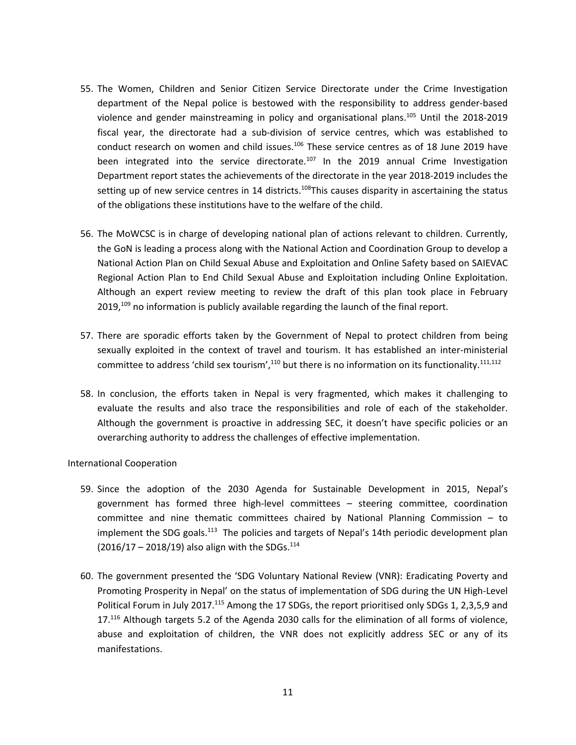- 55. The Women, Children and Senior Citizen Service Directorate under the Crime Investigation department of the Nepal police is bestowed with the responsibility to address gender-based violence and gender mainstreaming in policy and organisational plans.<sup>105</sup> Until the 2018-2019 fiscal year, the directorate had <sup>a</sup> sub-division of service centres, which was established to conduct research on women and child issues. $^{106}$  These service centres as of 18 June 2019 have been integrated into the service directorate.<sup>107</sup> In the 2019 annual Crime Investigation Department report states the achievements of the directorate in the year 2018-2019 includes the setting up of new service centres in 14 districts.<sup>108</sup>This causes disparity in ascertaining the status of the obligations these institutions have to the welfare of the child.
- 56. The MoWCSC is in charge of developing national plan of actions relevant to children. Currently, the GoN is leading <sup>a</sup> process along with the National Action and Coordination Group to develop <sup>a</sup> National Action Plan on Child Sexual Abuse and Exploitation and Online Safety based on SAIEVAC Regional Action Plan to End Child Sexual Abuse and Exploitation including Online Exploitation. Although an expert review meeting to review the draft of this plan took place in February 2019, $^{109}$  no information is publicly available regarding the launch of the final report.
- 57. There are sporadic efforts taken by the Government of Nepal to protect children from being sexually exploited in the context of travel and tourism. It has established an inter-ministerial committee to address 'child sex tourism',<sup>110</sup> but there is no information on its functionality.<sup>111,112</sup>
- 58. In conclusion, the efforts taken in Nepal is very fragmented, which makes it challenging to evaluate the results and also trace the responsibilities and role of each of the stakeholder. Although the government is proactive in addressing SEC, it doesn'<sup>t</sup> have specific policies or an overarching authority to address the challenges of effective implementation.

#### International Cooperation

- 59. Since the adoption of the 2030 Agenda for Sustainable Development in 2015, Nepal'<sup>s</sup> government has formed three high-level committees – steering committee, coordination committee and nine thematic committees chaired by National Planning Commission – to implement the SDG goals.<sup>113</sup> The policies and targets of Nepal's 14th periodic development plan (2016/17 – 2018/19) also align with the SDGs.<sup>114</sup>
- 60. The government presented the 'SDG Voluntary National Review (VNR): Eradicating Poverty and Promoting Prosperity in Nepal' on the status of implementation of SDG during the UN High-Level Political Forum in July 2017.<sup>115</sup> Among the 17 SDGs, the report prioritised only SDGs 1, 2,3,5,9 and 17.<sup>116</sup> Although targets 5.2 of the Agenda 2030 calls for the elimination of all forms of violence, abuse and exploitation of children, the VNR does not explicitly address SEC or any of its manifestations.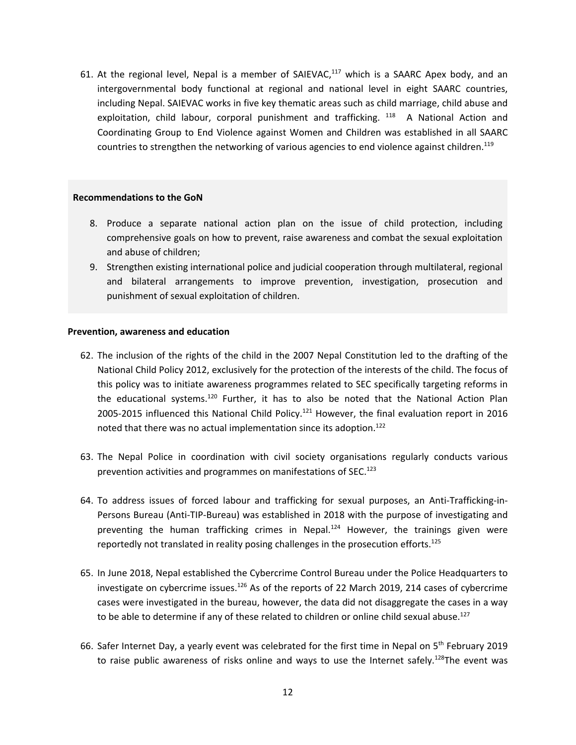61. At the regional level, Nepal is a member of SAIEVAC,<sup>117</sup> which is a SAARC Apex body, and an intergovernmental body functional at regional and national level in eight SAARC countries, including Nepal. SAIEVAC works in five key thematic areas such as child marriage, child abuse and exploitation, child labour, corporal punishment and trafficking. <sup>118</sup> A National Action and Coordinating Group to End Violence against Women and Children was established in all SAARC countries to strengthen the networking of various agencies to end violence against children.<sup>119</sup>

#### **Recommendations to the GoN**

- 8. Produce <sup>a</sup> separate national action plan on the issue of child protection, including comprehensive goals on how to prevent, raise awareness and combat the sexual exploitation and abuse of children;
- 9. Strengthen existing international police and judicial cooperation through multilateral, regional and bilateral arrangements to improve prevention, investigation, prosecution and punishment of sexual exploitation of children.

#### **Prevention, awareness and education**

- 62. The inclusion of the rights of the child in the 2007 Nepal Constitution led to the drafting of the National Child Policy 2012, exclusively for the protection of the interests of the child. The focus of this policy was to initiate awareness programmes related to SEC specifically targeting reforms in the educational systems.<sup>120</sup> Further, it has to also be noted that the National Action Plan 2005-2015 influenced this National Child Policy.<sup>121</sup> However, the final evaluation report in 2016 noted that there was no actual implementation since its adoption.<sup>122</sup>
- 63. The Nepal Police in coordination with civil society organisations regularly conducts various prevention activities and programmes on manifestations of SEC.<sup>123</sup>
- 64. To address issues of forced labour and trafficking for sexual purposes, an Anti-Trafficking-in-Persons Bureau (Anti-TIP-Bureau) was established in 2018 with the purpose of investigating and preventing the human trafficking crimes in Nepal.<sup>124</sup> However, the trainings given were reportedly not translated in reality posing challenges in the prosecution efforts.<sup>125</sup>
- 65. In June 2018, Nepal established the Cybercrime Control Bureau under the Police Headquarters to investigate on cybercrime issues.<sup>126</sup> As of the reports of 22 March 2019, 214 cases of cybercrime cases were investigated in the bureau, however, the data did not disaggregate the cases in <sup>a</sup> way to be able to determine if any of these related to children or online child sexual abuse.<sup>127</sup>
- 66. Safer Internet Day, a yearly event was celebrated for the first time in Nepal on 5<sup>th</sup> February 2019 to raise public awareness of risks online and ways to use the Internet safely.<sup>128</sup>The event was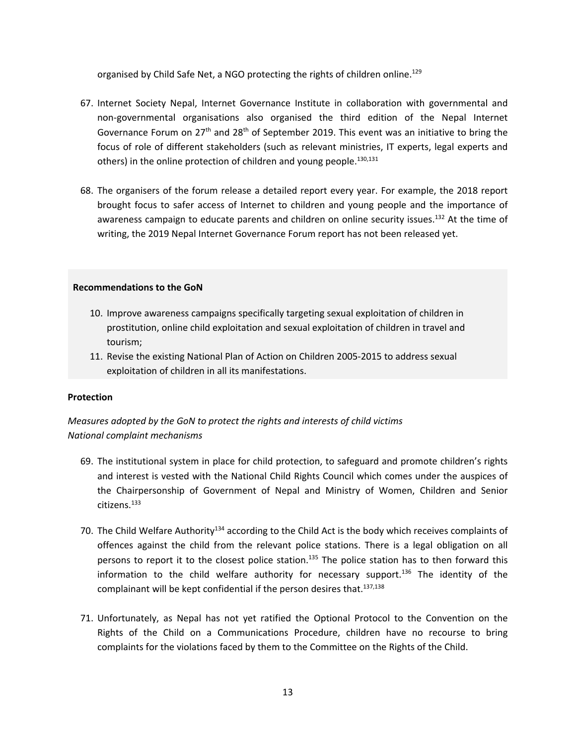organised by Child Safe Net, a NGO protecting the rights of children online.<sup>129</sup>

- 67. Internet Society Nepal, Internet Governance Institute in collaboration with governmental and non-governmental organisations also organised the third edition of the Nepal Internet Governance Forum on 27<sup>th</sup> and 28<sup>th</sup> of September 2019. This event was an initiative to bring the focus of role of different stakeholders (such as relevant ministries, IT experts, legal experts and others) in the online protection of children and young people.<sup>130,131</sup>
- 68. The organisers of the forum release <sup>a</sup> detailed report every year. For example, the 2018 report brought focus to safer access of Internet to children and young people and the importance of awareness campaign to educate parents and children on online security issues.<sup>132</sup> At the time of writing, the 2019 Nepal Internet Governance Forum report has not been released yet.

### **Recommendations to the GoN**

- 10. Improve awareness campaigns specifically targeting sexual exploitation of children in prostitution, online child exploitation and sexual exploitation of children in travel and tourism;
- 11. Revise the existing National Plan of Action on Children 2005-2015 to address sexual exploitation of children in all its manifestations.

# **Protection**

*Measures adopted by the GoN to protect the rights and interests of child victims National complaint mechanisms*

- 69. The institutional system in place for child protection, to safeguard and promote children'<sup>s</sup> rights and interest is vested with the National Child Rights Council which comes under the auspices of the Chairpersonship of Government of Nepal and Ministry of Women, Children and Senior citizens.<sup>133</sup>
- 70. The Child Welfare Authority<sup>134</sup> according to the Child Act is the body which receives complaints of offences against the child from the relevant police stations. There is <sup>a</sup> legal obligation on all persons to report it to the closest police station.<sup>135</sup> The police station has to then forward this information to the child welfare authority for necessary support.<sup>136</sup> The identity of the complainant will be kept confidential if the person desires that.<sup>137,138</sup>
- 71. Unfortunately, as Nepal has not yet ratified the Optional Protocol to the Convention on the Rights of the Child on <sup>a</sup> Communications Procedure, children have no recourse to bring complaints for the violations faced by them to the Committee on the Rights of the Child.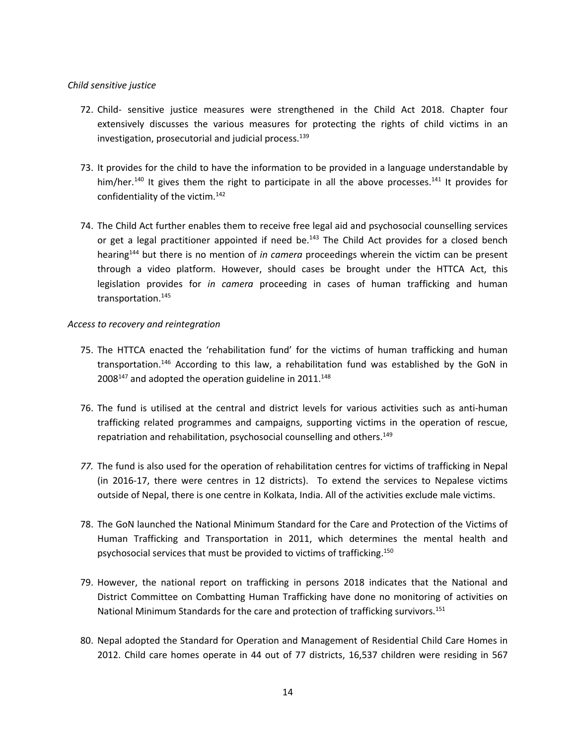### *Child sensitive justice*

- 72. Child- sensitive justice measures were strengthened in the Child Act 2018. Chapter four extensively discusses the various measures for protecting the rights of child victims in an investigation, prosecutorial and judicial process. 139
- 73. It provides for the child to have the information to be provided in <sup>a</sup> language understandable by him/her.<sup>140</sup> It gives them the right to participate in all the above processes.<sup>141</sup> It provides for confidentiality of the victim. 142
- 74. The Child Act further enables them to receive free legal aid and psychosocial counselling services or get a legal practitioner appointed if need be.<sup>143</sup> The Child Act provides for a closed bench hearing 144 but there is no mention of *in camera* proceedings wherein the victim can be present through <sup>a</sup> video platform. However, should cases be brought under the HTTCA Act, this legislation provides for *in camera* proceeding in cases of human trafficking and human transportation. 145

### *Access to recovery and reintegration*

- 75. The HTTCA enacted the 'rehabilitation fund' for the victims of human trafficking and human transportation.<sup>146</sup> According to this law, a rehabilitation fund was established by the GoN in  $2008^{147}$  and adopted the operation guideline in 2011. $^{148}$
- 76. The fund is utilised at the central and district levels for various activities such as anti-human trafficking related programmes and campaigns, supporting victims in the operation of rescue, repatriation and rehabilitation, psychosocial counselling and others.<sup>149</sup>
- *77.* The fund is also used for the operation of rehabilitation centres for victims of trafficking in Nepal (in 2016-17, there were centres in 12 districts). To extend the services to Nepalese victims outside of Nepal, there is one centre in Kolkata, India. All of the activities exclude male victims.
- 78. The GoN launched the National Minimum Standard for the Care and Protection of the Victims of Human Trafficking and Transportation in 2011, which determines the mental health and psychosocial services that must be provided to victims of trafficking.<sup>150</sup>
- 79. However, the national report on trafficking in persons 2018 indicates that the National and District Committee on Combatting Human Trafficking have done no monitoring of activities on National Minimum Standards for the care and protection of trafficking survivors.<sup>151</sup>
- 80. Nepal adopted the Standard for Operation and Management of Residential Child Care Homes in 2012. Child care homes operate in 44 out of 77 districts, 16,537 children were residing in 567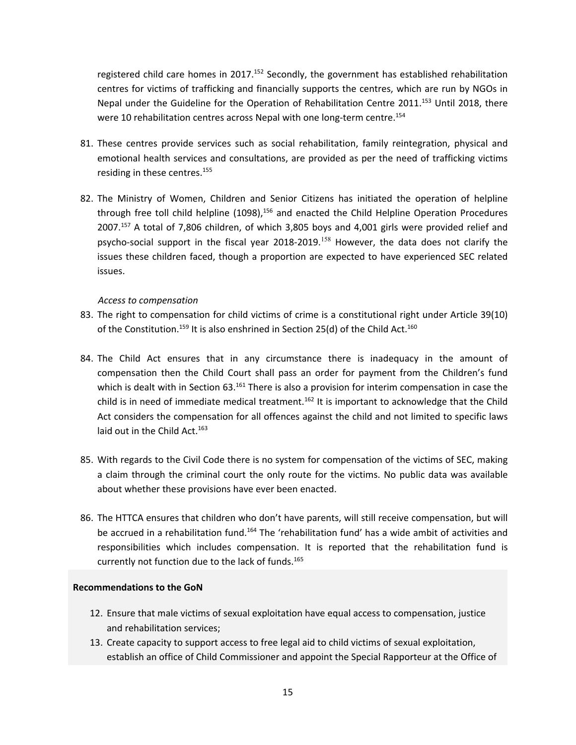registered child care homes in 2017.<sup>152</sup> Secondly, the government has established rehabilitation centres for victims of trafficking and financially supports the centres, which are run by NGOs in Nepal under the Guideline for the Operation of Rehabilitation Centre 2011.<sup>153</sup> Until 2018, there were 10 rehabilitation centres across Nepal with one long-term centre.<sup>154</sup>

- 81. These centres provide services such as social rehabilitation, family reintegration, physical and emotional health services and consultations, are provided as per the need of trafficking victims residing in these centres. 155
- 82. The Ministry of Women, Children and Senior Citizens has initiated the operation of helpline through free toll child helpline (1098),<sup>156</sup> and enacted the Child Helpline Operation Procedures 2007.<sup>157</sup> A total of 7,806 children, of which 3,805 boys and 4,001 girls were provided relief and psycho-social support in the fiscal year 2018-2019.<sup>158</sup> However, the data does not clarify the issues these children faced, though <sup>a</sup> proportion are expected to have experienced SEC related issues.

### *Access to compensation*

- 83. The right to compensation for child victims of crime is <sup>a</sup> constitutional right under Article 39(10) of the Constitution.<sup>159</sup> It is also enshrined in Section 25(d) of the Child Act.<sup>160</sup>
- 84. The Child Act ensures that in any circumstance there is inadequacy in the amount of compensation then the Child Court shall pass an order for payment from the Children'<sup>s</sup> fund which is dealt with in Section 63.<sup>161</sup> There is also a provision for interim compensation in case the child is in need of immediate medical treatment.<sup>162</sup> It is important to acknowledge that the Child Act considers the compensation for all offences against the child and not limited to specific laws laid out in the Child Act.<sup>163</sup>
- 85. With regards to the Civil Code there is no system for compensation of the victims of SEC, making <sup>a</sup> claim through the criminal court the only route for the victims. No public data was available about whether these provisions have ever been enacted.
- 86. The HTTCA ensures that children who don'<sup>t</sup> have parents, will still receive compensation, but will be accrued in a rehabilitation fund.<sup>164</sup> The 'rehabilitation fund' has a wide ambit of activities and responsibilities which includes compensation. It is reported that the rehabilitation fund is currently not function due to the lack of funds. 165

#### **Recommendations to the GoN**

- 12. Ensure that male victims of sexual exploitation have equal access to compensation, justice and rehabilitation services;
- 13. Create capacity to support access to free legal aid to child victims of sexual exploitation, establish an office of Child Commissioner and appoint the Special Rapporteur at the Office of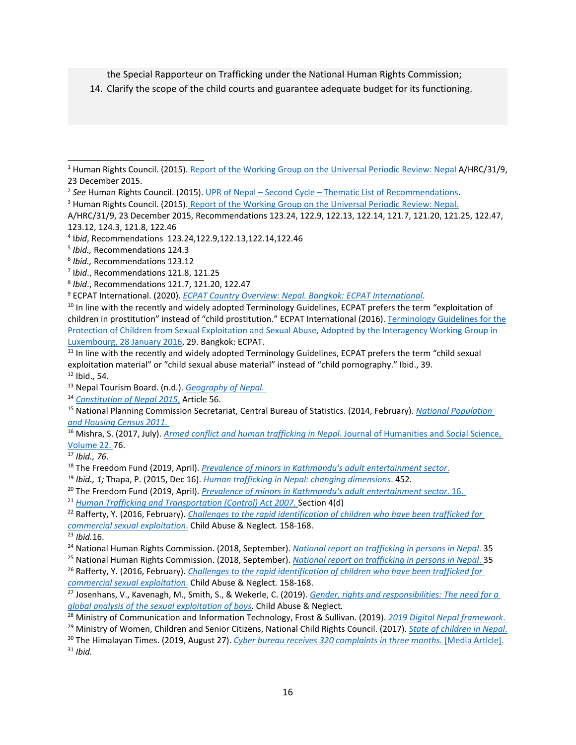the Special Rapporteur on Trafficking under the National Human Rights Commission;

14. Clarify the scope of the child courts and guarantee adequate budget for its functioning.

8 *Ibid*., Recommendations 121.7, 121.20, 122.47

9 ECPAT International. (2020). *ECPAT Country Overview: Nepal. Bangkok: ECPAT [International](https://www.ecpat.org/wp-content/uploads/2020/01/ECPAT-Country-Overview-Report-Sexual-Exploitation-of-Children-in-Nepal-2020-ENG.pdf)*.

14 *[Constitution](http://constitutionnet.org/sites/default/files/nepal_constitution_-_official_translaiton_eng_mljpa.pdf) of Nepal 2015*, Article 56.

<sup>16</sup> Mishra, S. (2017, July). *Armed conflict and human [trafficking](https://pdfs.semanticscholar.org/c67c/29fddb911e75384a848a25e5d2ba5eab8697.pdf) in Nepal*. Journal of Humanities and Social Science, Volume 22. 76.

21 *Human Trafficking and [Transportation](https://www.warnathgroup.com/wp-content/uploads/2015/03/Nepal-TIP-Law-2007.pdf) (Control) Act 2007*. Section 4(d)

<sup>&</sup>lt;sup>1</sup> Human Rights Council. (2015). Report of the [Working](http://daccess-ods.un.org/access.nsf/Get?Open&DS=A/HRC/31/9&Lang=E) Group on the Universal Periodic Review: Nepal A/HRC/31/9, 23 December 2015.

<sup>&</sup>lt;sup>2</sup> See Human Rights Council. (2015). UPR of Nepal – Second Cycle – Thematic List of [Recommendations](http://lib.ohchr.org/HRBodies/UPR/Documents/session23/NP/UPR23_Nepal_recommendations.docx).

<sup>&</sup>lt;sup>3</sup> Human Rights Council. (2015). Report of the [Working](http://daccess-ods.un.org/access.nsf/Get?Open&DS=A/HRC/31/9&Lang=E) Group on the Universal Periodic Review: Nepal.

A/HRC/31/9, 23 December 2015, Recommendations 123.24, 122.9, 122.13, 122.14, 121.7, 121.20, 121.25, 122.47, 123.12, 124.3, 121.8, 122.46

<sup>4</sup> I*bid*, Recommendations 123.24,122.9,122.13,122.14,122.46

<sup>5</sup> *Ibid.,* Recommendations 124.3

<sup>6</sup> *Ibid.,* Recommendations 123.12

<sup>7</sup> I*bid*., Recommendations 121.8, 121.25

<sup>&</sup>lt;sup>10</sup> In line with the recently and widely adopted Terminology Guidelines, ECPAT prefers the term "exploitation of children in prostitution" instead of "child prostitution." ECPAT International (2016). [Terminology](http://luxembourgguidelines.org/english-version/) Guidelines for the Protection of Children from Sexual [Exploitation](http://luxembourgguidelines.org/english-version/) and Sexual Abuse, Adopted by the Interagency Working Group in [Luxembourg,](http://luxembourgguidelines.org/english-version/) 28 January 2016, 29. Bangkok: ECPAT.

<sup>&</sup>lt;sup>11</sup> In line with the recently and widely adopted Terminology Guidelines, ECPAT prefers the term "child sexual exploitation material" or "child sexual abuse material" instead of "child pornography." Ibid., 39. 12 Ibid., 54.

<sup>13</sup> Nepal Tourism Board. (n.d.). *[Geography](https://www.welcomenepal.com/plan-your-trip/geography.html) of Nepal.*

<sup>15</sup> National Planning Commission Secretariat, Central Bureau of Statistics. (2014, February). *National [Population](https://cbs.gov.np/wp-content/upLoads/2019/07/pulationandhousing-census-2011.pdf) and [Housing](https://cbs.gov.np/wp-content/upLoads/2019/07/pulationandhousing-census-2011.pdf) Census 2011*.

<sup>17</sup> *Ibid., 76*.

<sup>18</sup> The Freedom Fund (2019, April). *Prevalence of minors in Kathmandu's adult [entertainment](https://d1r4g0yjvcc7lx.cloudfront.net/uploads/20190612195109/Prevalence-of-minors-in-Kathmandus-adult-entertainment-sector-FINAL-print.pdf) sector*.

<sup>19</sup> *Ibid., 1;* Thapa, P. (2015, Dec 16). *Human [trafficking](https://www.tandfonline.com/doi/abs/10.1080/12259276.2015.1106859?scroll=top&needAccess=true&journalCode=rajw20) in Nepal: changing dimensions*. 452.

<sup>20</sup> The Freedom Fund (2019, April). *Prevalence of minors in Kathmandu's adult [entertainment](https://d1r4g0yjvcc7lx.cloudfront.net/uploads/20190612195109/Prevalence-of-minors-in-Kathmandus-adult-entertainment-sector-FINAL-print.pdf) sector*. 16.

<sup>22</sup> Rafferty, Y. (2016, February). *Challenges to the rapid [identification](https://www.sciencedirect.com/science/article/abs/pii/S0145213415004391) of children who have been trafficked for commercial sexual [exploitation](https://www.sciencedirect.com/science/article/abs/pii/S0145213415004391)*. Child Abuse & Neglect*.* 158-168.

<sup>23</sup> *Ibid.*16.

<sup>24</sup> National Human Rights Commission. (2018, September). *National report on [trafficking](http://www.nhrcnepal.org/nhrc_new/doc/newsletter/NHRC_National_Report_TIP_in_Nepal_September_2018.pdf) in persons in Nepal*. 35

<sup>25</sup> National Human Rights Commission. (2018, September). *National report on [trafficking](http://www.nhrcnepal.org/nhrc_new/doc/newsletter/NHRC_National_Report_TIP_in_Nepal_September_2018.pdf) in persons in Nepal*. 35

<sup>26</sup> Rafferty, Y. (2016, February). *Challenges to the rapid [identification](https://www.sciencedirect.com/science/article/abs/pii/S0145213415004391) of children who have been trafficked for commercial sexual [exploitation](https://www.sciencedirect.com/science/article/abs/pii/S0145213415004391)*. Child Abuse & Neglect*.* 158-168.

<sup>27</sup> Josenhans, V., Kavenagh, M., Smith, S., &Wekerle, C. (2019). *Gender, rights and [responsibilities:](https://www.sciencedirect.com/science/article/abs/pii/S0145213419304673?via%3Dihub) The need for <sup>a</sup> global analysis of the sexual [exploitation](https://www.sciencedirect.com/science/article/abs/pii/S0145213419304673?via%3Dihub) of boys*. Child Abuse & Neglect*.*

<sup>28</sup> Ministry of Communication and Information Technology, Frost & Sullivan. (2019). *<sup>2019</sup> Digital Nepal [framework](https://nepalindata.com/media/resources/items/15/bEN_Digital_Nepal_Framework_V7.2March2019.pdf)*.

<sup>29</sup> Ministry of Women, Children and Senior Citizens, National Child Rights Council. (2017). *State of [children](http://www.ccwb.gov.np/uploads/Resource/CCWB%20Publication/report/State%20Of%20Children%20In%20Nepal%202017%20%7BEnglish%20Version%7D.pdf) in Nepal*.

<sup>30</sup> The Himalayan Times. (2019, August 27). *Cyber bureau receives 320 [complaints](https://thehimalayantimes.com/kathmandu/cyber-bureau-receives-320-plaints-in-three-months/) in three months.* [Media Article]. 31 *Ibid.*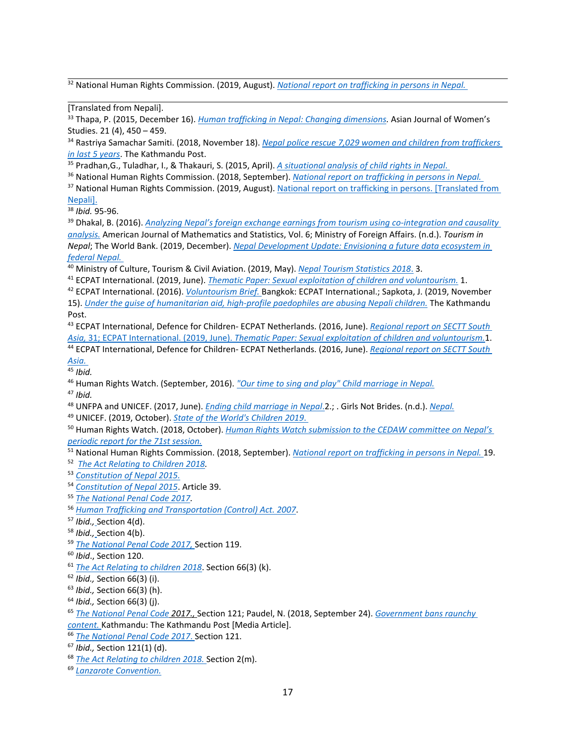32 National Human Rights Commission. (2019, August). *National report on [trafficking](https://www.nhrcnepal.org/nhrc_new/doc/newsletter/TIP_Report_2019_compressed.pdf) in persons in Nepal.*

33 Thapa, P. (2015, December 16). *Human [trafficking](https://www.tandfonline.com/doi/full/10.1080/12259276.2015.1106859) in Nepal: Changing dimensions.* Asian Journal of Women'<sup>s</sup> Studies. 21 (4), 450 – 459.

34 Rastriya Samachar Samiti. (2018, November 18). *Nepal police rescue 7,029 women and children from [traffickers](https://kathmandupost.com/national/2018/11/18/nepal-police-rescue-7029-women-and-children-from-traffickers-in-last-5-years) in last 5 [years](https://kathmandupost.com/national/2018/11/18/nepal-police-rescue-7029-women-and-children-from-traffickers-in-last-5-years)*. The Kathmandu Post.

35 Pradhan,G., Tuladhar, I., &Thakauri, S. (2015, April). *A [situational](https://www.academia.edu/30845108/A_Situation_Analysis_of_Child_Rights_in_Nepal) analysis of child rights in Nepal*.

36 National Human Rights Commission. (2018, September). *National report on [trafficking](http://www.nhrcnepal.org/nhrc_new/doc/newsletter/NHRC_National_Report_TIP_in_Nepal_September_2018.pdf) in persons in Nepal.*

<sup>37</sup> National Human Rights Commission. (2019, August). National report on trafficking in persons. [\[Translated](https://www.nhrcnepal.org/nhrc_new/doc/newsletter/TIP_Report_2019_compressed.pdf) from [Nepali\]](https://www.nhrcnepal.org/nhrc_new/doc/newsletter/TIP_Report_2019_compressed.pdf).

38 *Ibid.* 95-96.

39 Dhakal, B. (2016). *Analyzing Nepal'<sup>s</sup> foreign exchange earnings from tourism using [co-integration](http://article.sapub.org/10.5923.j.ajms.20160606.01.html) and causality [analysis.](http://article.sapub.org/10.5923.j.ajms.20160606.01.html)* American Journal of Mathematics and Statistics, Vol. 6; Ministry of Foreign Affairs. (n.d.). *Tourism in Nepal*; The World Bank. (2019, December). *Nepal [Development](http://documents.worldbank.org/curated/pt/485591576101383264/Nepal-Development-Update-Envisioning-a-Future-Data-Ecosystem-in-Federal-Nepal) Update: Envisioning <sup>a</sup> future data ecosystem in [federal](http://documents.worldbank.org/curated/pt/485591576101383264/Nepal-Development-Update-Envisioning-a-Future-Data-Ecosystem-in-Federal-Nepal) Nepal.*

<sup>40</sup> Ministry of Culture, Tourism & Civil Aviation. (2019, May). *Nepal Tourism [Statistics](http://tourism.gov.np/files/statistics/19.pdf) <sup>2018</sup>*. 3.

41 ECPAT International. (2019, June). *Thematic Paper: Sexual [exploitation](https://protectingchildrenintourism.org/wp-content/uploads/2019/06/SECTT_Thematic-Paper_Voluntourism.pdf) of children and voluntourism.* 1.

42 ECPAT International. (2016). *[Voluntourism](https://www.ecpat.org/wp-content/uploads/2016/10/Volun-tourism.pdf) Brief.* Bangkok: ECPAT International.; Sapkota, J. (2019, November 15). *Under the guise of humanitarian aid, high-profile [paedophiles](https://kathmandupost.com/national/2019/11/15/under-the-guise-of-humanitarian-aid-high-profile-paedophiles-are-abusing-nepali-children) are abusing Nepali children.* The Kathmandu Post.

43 ECPAT International, Defence for Children- ECPAT Netherlands. (2016, June). *[Regional](https://www.ecpat.org/wp-content/uploads/2016/10/SECTT_Region-SOUTH-ASIA.pdf) report on SECTT South [Asia,](https://www.ecpat.org/wp-content/uploads/2016/10/SECTT_Region-SOUTH-ASIA.pdf)* 31; ECPAT International. (2019, June). *Thematic Paper: Sexual [exploitation](https://protectingchildrenintourism.org/wp-content/uploads/2019/06/SECTT_Thematic-Paper_Voluntourism.pdf) of children and voluntourism.*1.

44 ECPAT International, Defence for Children- ECPAT Netherlands. (2016, June). *[Regional](https://www.ecpat.org/wp-content/uploads/2016/10/SECTT_Region-SOUTH-ASIA.pdf) report on SECTT South [Asia.](https://www.ecpat.org/wp-content/uploads/2016/10/SECTT_Region-SOUTH-ASIA.pdf)*

45 *Ibid.*

46 Human Rights Watch. (September, 2016). *"Our time to sing and play" Child [marriage](https://www.hrw.org/sites/default/files/report_pdf/nepal0816_web.pdf) in Nepal.*

47 *Ibid.*

48 UNFPA and UNICEF. (2017, June). *Ending child [marriage](https://www.unicef.org/nepal/reports/ending-child-marriage-nepal) in Nepal*.2.; . Girls Not Brides. (n.d.). *[Nepal.](https://www.girlsnotbrides.org/child-marriage/nepal/)*

49 UNICEF. (2019, October). *State of the World's [Children](https://www.unicef.org/media/60806/file/SOWC-2019.pdf) 2019*.

50 Human Rights Watch. (2018, October). *Human Rights Watch [submission](https://www.hrw.org/news/2018/10/04/human-rights-watch-submission-cedaw-committee-nepals-periodic-report-71st-session) to the CEDAW committee on Nepal'<sup>s</sup> [periodic](https://www.hrw.org/news/2018/10/04/human-rights-watch-submission-cedaw-committee-nepals-periodic-report-71st-session) report for the 71st session.*

- 51 National Human Rights Commission. (2018, September). *National report on [trafficking](http://www.nhrcnepal.org/nhrc_new/doc/newsletter/NHRC_National_Report_TIP_in_Nepal_September_2018.pdf) in persons in Nepal.* 19.
- 52 *The Act [Relating](https://www.unicef.org/nepal/sites/unicef.org.nepal/files/2018-12/Act%20Relating%20to%20Children%202018%20-%20Eng%20-%20Revised.pdf) to Children 2018.*

53 *[Constitution](https://www.constituteproject.org/constitution/Nepal_2015.pdf) of Nepal 2015.*

- 54 *[Constitution](https://www.constituteproject.org/constitution/Nepal_2015.pdf) of Nepal 2015*. Article 39.
- 55 *The [National](http://www.moljpa.gov.np/en/wp-content/uploads/2018/12/Penal-Code-English-Revised-1.pdf) Penal Code 2017.*

56 *Human Trafficking and [Transportation](https://www.warnathgroup.com/wp-content/uploads/2015/03/Nepal-TIP-Law-2007.pdf) (Control) Act. 2007*.

57 *Ibid.,* Section 4(d).

- 58 *Ibid.,* Section 4(b).
- 59 *The [National](http://www.moljpa.gov.np/en/wp-content/uploads/2018/12/Penal-Code-English-Revised-1.pdf) Penal Code 2017,* Section 119.
- 60 *Ibid*., Section 120.
- 61 *The Act [Relating](https://www.unicef.org/nepal/sites/unicef.org.nepal/files/2018-12/Act%20Relating%20to%20Children%202018%20-%20Eng%20-%20Revised.pdf) to children 2018*. Section 66(3) (k).
- 62 *Ibid.,* Section 66(3) (i).

63 *Ibid.,* Section 66(3) (h).

64 *Ibid.,* Section 66(3) (j).

65 *The [National](http://www.moljpa.gov.np/en/wp-content/uploads/2018/12/Penal-Code-English-Revised-1.pdf) Penal Code 2017.,* Section 121; Paudel, N. (2018, September 24). *[Government](https://kathmandupost.com/national/2018/09/24/government-bans-raunchy-content) bans raunchy [content.](https://kathmandupost.com/national/2018/09/24/government-bans-raunchy-content)* Kathmandu: The Kathmandu Post [Media Article].

66 *The [National](http://www.moljpa.gov.np/en/wp-content/uploads/2018/12/Penal-Code-English-Revised-1.pdf) Penal Code 2017*. Section 121.

67 *Ibid.,* Section 121(1) (d).

68 *The Act [Relating](https://www.unicef.org/nepal/sites/unicef.org.nepal/files/2018-12/Act%20Relating%20to%20Children%202018%20-%20Eng%20-%20Revised.pdf) to children 2018.* Section 2(m).

69 *Lanzarote [Convention.](https://www.coe.int/en/web/children/lanzarote-convention)*

<sup>[</sup>Translated from Nepali].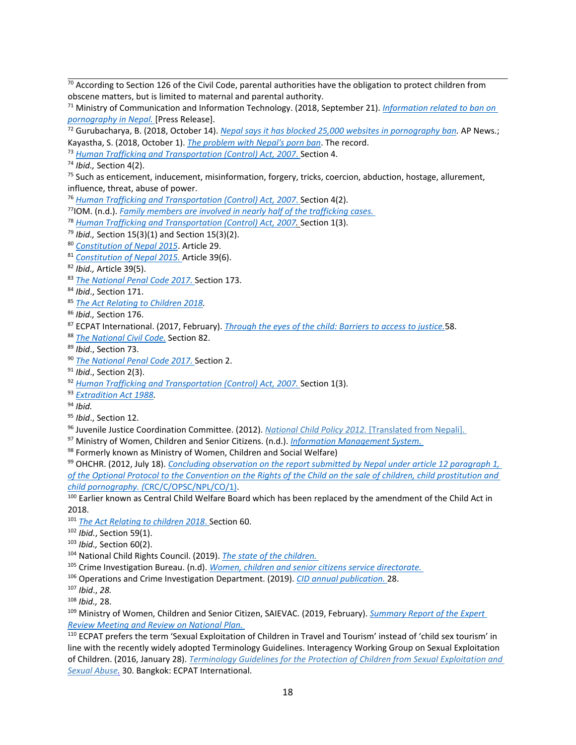<sup>70</sup> According to Section 126 of the Civil Code, parental authorities have the obligation to protect children from obscene matters, but is limited to maternal and parental authority.

<sup>71</sup> Ministry of Communication and Information Technology. (2018, September 21). *[Information](https://mocit.gov.np/category/categoryDetail/20750605) related to ban on [pornography](https://mocit.gov.np/category/categoryDetail/20750605) in Nepal.* [Press Release].

72 Gurubacharya, B. (2018, October 14). *Nepal says it has blocked 25,000 websites in [pornography](https://apnews.com/9977d94dacd94c76a032bf89a220b35f/Nepal-says-it-has-blocked-25,000-websites-in-pornography-ban) ban.* AP News.; Kayastha, S. (2018, October 1). *The [problem](https://www.recordnepal.com/perspective/policing-sexuality-porn-ban-in-nepal/) with Nepal's porn ban*. The record.

73 *Human Trafficking and [Transportation](https://www.warnathgroup.com/wp-content/uploads/2015/03/Nepal-TIP-Law-2007.pdf) (Control) Act, 2007*. Section 4.

74 *Ibid.,* Section 4(2).

<sup>75</sup> Such as enticement, inducement, misinformation, forgery, tricks, coercion, abduction, hostage, allurement, influence, threat, abuse of power.

76 *Human Trafficking and [Transportation](https://www.warnathgroup.com/wp-content/uploads/2015/03/Nepal-TIP-Law-2007.pdf) (Control) Act, 2007*. Section 4(2).

77 IOM. (n.d.). *Family members are involved in nearly half of the [trafficking](https://www.iom.int/sites/default/files/our_work/DMM/MAD/Counter-trafficking%20Data%20Brief%20081217.pdf) cases.*

78 *Human Trafficking and [Transportation](https://www.warnathgroup.com/wp-content/uploads/2015/03/Nepal-TIP-Law-2007.pdf) (Control) Act, 2007.* Section 1(3).

- 79 *Ibid.,* Section 15(3)(1) and Section 15(3)(2).
- 80 *[Constitution](https://www.constituteproject.org/constitution/Nepal_2015.pdf) of Nepal 2015*. Article 29.
- 81 *[Constitution](https://www.constituteproject.org/constitution/Nepal_2015.pdf) of Nepal 2015.* Article 39(6).

83 *The [National](http://www.moljpa.gov.np/en/wp-content/uploads/2018/12/Penal-Code-English-Revised-1.pdf) Penal Code 2017.* Section 173.

- 85 *The Act [Relating](https://www.unicef.org/nepal/sites/unicef.org.nepal/files/2018-12/Act%20Relating%20to%20Children%202018%20-%20Eng%20-%20Revised.pdf) to Children 2018.*
- 86 *Ibid.,* Section 176.
- 87 ECPAT International. (2017, February). *[Through](https://www.ecpat.org/wp-content/uploads/2017/04/Through-the-Eyes-of-the-Child_Barries-to-Access-to-Justice-thematic-report.pdf) the eyes of the child: Barriers to access to justice.*58.
- 88 *The [National](http://www.moljpa.gov.np/en/wp-content/uploads/2018/12/Civil-code.pdf) Civil Code.* Section 82.
- 89 *Ibid*., Section 73.
- 90 *The [National](http://www.moljpa.gov.np/en/wp-content/uploads/2018/12/Penal-Code-English-Revised-1.pdf) Penal Code 2017.* Section 2.
- 91 *Ibid*., Section 2(3).
- 92 *Human Trafficking and [Transportation](https://www.warnathgroup.com/wp-content/uploads/2015/03/Nepal-TIP-Law-2007.pdf) (Control) Act, 2007.* Section 1(3).
- 93 *[Extradition](http://www.lawcommission.gov.np/en/archives/category/documents/prevailing-law/statutes-acts/extradition-act-2045-1988) Act 1988.*
- 94 *Ibid.*
- 95 *Ibid*., Section 12.
- 96 Juvenile Justice Coordination Committee. (2012). *National Child Policy 2012.* [\[Translated](http://jjcc.gov.np/index.php?page=documents) from Nepali].
- <sup>97</sup> Ministry of Women, Children and Senior Citizens. (n.d.). *Information [Management](https://mis.mowcsc.gov.np/) System.*
- $^{98}$  Formerly known as Ministry of Women, Children and Social Welfare)

99 OHCHR. (2012, July 18). *[Concluding](https://tbinternet.ohchr.org/_layouts/15/treatybodyexternal/Download.aspx?symbolno=CRC%2fC%2fNPL%2fCO%2f3-5&Lang=en) observation on the report submitted by Nepal under article 12 paragraph 1,* of the Optional Protocol to the Convention on the Rights of the Child on the sale of children, child [prostitution](https://tbinternet.ohchr.org/_layouts/15/treatybodyexternal/Download.aspx?symbolno=CRC%2fC%2fNPL%2fCO%2f3-5&Lang=en) and *child pornography. (*[CRC/C/OPSC/NPL/CO/1\)](https://tbinternet.ohchr.org/_layouts/15/treatybodyexternal/Download.aspx?symbolno=CRC%2fC%2fNPL%2fCO%2f3-5&Lang=en).

<sup>100</sup> Earlier known as Central Child Welfare Board which has been replaced by the amendment of the Child Act in 2018.

- 101 *The Act [Relating](https://www.unicef.org/nepal/sites/unicef.org.nepal/files/2018-12/Act%20Relating%20to%20Children%202018%20-%20Eng%20-%20Revised.pdf) to children 2018*. Section 60.
- 102 *Ibid.*, Section 59(1).
- 103 *Ibid.,* Section 60(2).
- 104 National Child Rights Council. (2019). *The state of the [children.](https://www.ncrc.gov.np/page/document/state-of-children)*
- 105 Crime Investigation Bureau. (n.d). *Women, children and senior citizens service [directorate.](https://cid.nepalpolice.gov.np/index.php/cid-wings/women-children-service-directorate)*
- 106 Operations and Crime Investigation Department. (2019). *CID annual [publication.](https://cid.nepalpolice.gov.np/images/Publication/CID_Magazine_2076.pdf)* 28.
- 107 *Ibid*., *28.*
- 108 *Ibid.,* 28.

<sup>109</sup> Ministry of Women, Children and Senior Citizen, SAIEVAC. (2019, February). *[Summary](http://saievac.org/download/nepal-2/) Report of the Expert Review [Meeting](http://saievac.org/download/nepal-2/) and Review on National Plan.*

110 ECPAT prefers the term 'Sexual Exploitation of Children in Travel and Tourism' instead of 'child sex tourism' in line with the recently widely adopted Terminology Guidelines. Interagency Working Group on Sexual Exploitation of Children. (2016, January 28). *[Terminology](http://luxembourgguidelines.org/) Guidelines for the Protection of Children from Sexual Exploitation and Sexual [Abuse.](http://luxembourgguidelines.org/)* 30. Bangkok: ECPAT International.

<sup>82</sup> *Ibid.,* Article 39(5).

<sup>84</sup> *Ibid*., Section 171.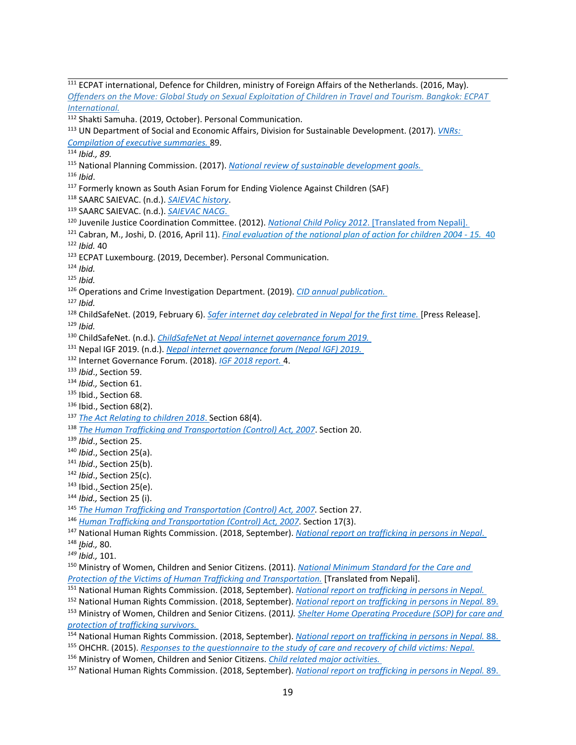Ministry of Women, Children and Senior Citizens. (2011). *National Minimum [Standard](http://tponepal.org/category/tpo-contribution-in-government-policy-level-documents/) for the Care and Protection of the Victims of Human Trafficking and [Transportation.](http://tponepal.org/category/tpo-contribution-in-government-policy-level-documents/)* [Translated from Nepali].

<sup>&</sup>lt;sup>111</sup> ECPAT international, Defence for Children, ministry of Foreign Affairs of the Netherlands. (2016, May). Offenders on the Move: Global Study on Sexual [Exploitation](https://www.ecpat.org/wp-content/uploads/2019/06/Offenders-on-the-move-Global-Study-on-the-Sexual-Exploitation-of-Children-in-Travel-and-Tourism.pdf) of Children in Travel and Tourism. Bangkok: ECPAT *[International.](https://www.ecpat.org/wp-content/uploads/2019/06/Offenders-on-the-move-Global-Study-on-the-Sexual-Exploitation-of-Children-in-Travel-and-Tourism.pdf)* <sup>112</sup> Shakti Samuha. (2019, October). Personal Communication. UN Department of Social and Economic Affairs, Division for Sustainable Development. (2017). *[VNRs:](https://sustainabledevelopment.un.org/content/documents/16665Compilation_of_Executive_Summaries_2017_VNRs.pdf) [Compilation](https://sustainabledevelopment.un.org/content/documents/16665Compilation_of_Executive_Summaries_2017_VNRs.pdf) of executive summaries.* 89. *Ibid., 89.* National Planning Commission. (2017). *National review of sustainable [development](https://sustainabledevelopment.un.org/content/documents/16513Nepal.pdf) goals. Ibid*. <sup>117</sup> Formerly known as South Asian Forum for Ending Violence Against Children (SAF) SAARC SAIEVAC. (n.d.). *SAIEVAC [history](http://saievac.org/)*. SAARC SAIEVAC. (n.d.). *[SAIEVAC](http://saievac.org/nacg/) NACG*. Juvenile Justice Coordination Committee. (2012). *National Child Policy 2012*. [\[Translated](http://jjcc.gov.np/index.php?page=documents) from Nepali]. Cabran, M., Joshi, D. (2016, April 11). *Final [evaluation](https://www.unicef.org/evaldatabase/files/Nepal_NPA_evaluation_-_FINAL_REPORT_2016-002.pdf) of the national plan of action for children 2004 - 15.* 40 *Ibid.* 40 <sup>123</sup> ECPAT Luxembourg. (2019, December). Personal Communication. *Ibid. Ibid.* Operations and Crime Investigation Department. (2019). *CID annual [publication.](https://cid.nepalpolice.gov.np/images/Publication/CID_Magazine_2076.pdf) Ibid.* ChildSafeNet. (2019, February 6). *Safer internet day [celebrated](https://static1.squarespace.com/static/5b434204da02bc0f557905b9/t/5c5a9939b208fc4e62a9cdad/1549441339029/SID+2019+Press+Release%2C+Eng%2C+6+Feb+2019.pdf) in Nepal for the first time.* [Press Release]. *Ibid.* ChildSafeNet. (n.d.). *[ChildSafeNet](https://www.childsafenet.org/nepal-igf-2019) at Nepal internet governance forum 2019.* Nepal IGF 2019. (n.d.). *Nepal internet [governance](https://2019.igf.org.np/) forum (Nepal IGF) 2019.* Internet Governance Forum. (2018). *IGF 2018 [report.](http://www.igovinstitute.org/reports)* 4. *Ibid*., Section 59. *Ibid.,* Section 61. <sup>135</sup> Ibid., Section 68.  $^{136}$  Ibid., Section 68(2). *The Act [Relating](https://www.unicef.org/nepal/sites/unicef.org.nepal/files/2018-12/Act%20Relating%20to%20Children%202018%20-%20Eng%20-%20Revised.pdf) to children 2018*. Section 68(4). *The Human Trafficking and [Transportation](https://www.warnathgroup.com/wp-content/uploads/2015/03/Nepal-TIP-Law-2007.pdf) (Control) Act, 2007*. Section 20. *Ibid*., Section 25. *Ibid*., Section 25(a). *Ibid*., Section 25(b). *Ibid*., Section 25(c).  $^{143}$  Ibid., Section 25(e). *Ibid.,* Section 25 (i). *The Human Trafficking and [Transportation](https://www.warnathgroup.com/wp-content/uploads/2015/03/Nepal-TIP-Law-2007.pdf) (Control) Act, 2007.* Section 27. *Human Trafficking and [Transportation](https://www.warnathgroup.com/wp-content/uploads/2015/03/Nepal-TIP-Law-2007.pdf) (Control) Act, 2007*. Section 17(3).

National Human Rights Commission. (2018, September). *National report on [trafficking](http://www.nhrcnepal.org/nhrc_new/doc/newsletter/NHRC_National_Report_TIP_in_Nepal_September_2018.pdf) in persons in Nepal*.

*Ibid.,* 80.

*Ibid.,* 101.

National Human Rights Commission. (2018, September). *National report on [trafficking](http://www.nhrcnepal.org/nhrc_new/doc/newsletter/NHRC_National_Report_TIP_in_Nepal_September_2018.pdf) in persons in Nepal.*

 National Human Rights Commission. (2018, September). *National report on [trafficking](http://www.nhrcnepal.org/nhrc_new/doc/newsletter/NHRC_National_Report_TIP_in_Nepal_September_2018.pdf) in persons in Nepal.* 89. Ministry of Women, Children and Senior Citizens. (2011*). Shelter Home [Operating](http://tponepal.org/category/tpo-contribution-in-government-policy-level-documents/) Procedure (SOP) for care and protection of [trafficking](http://tponepal.org/category/tpo-contribution-in-government-policy-level-documents/) survivors.*

 National Human Rights Commission. (2018, September). *National report on [trafficking](http://www.nhrcnepal.org/nhrc_new/doc/newsletter/NHRC_National_Report_TIP_in_Nepal_September_2018.pdf) in persons in Nepal.* 88. OHCHR. (2015). *Responses to the [questionnaire](https://www.ohchr.org/EN/Issues/Children/Pages/ResponsesCareAndRecovery.aspx) to the study of care and recovery of child victims: Nepal.*

Ministry of Women, Children and Senior Citizens. *Child related major [activities.](https://mowcsc.gov.np/major-activities)*

National Human Rights Commission. (2018, September). *National report on [trafficking](http://www.nhrcnepal.org/nhrc_new/doc/newsletter/NHRC_National_Report_TIP_in_Nepal_September_2018.pdf) in persons in Nepal.* 89.